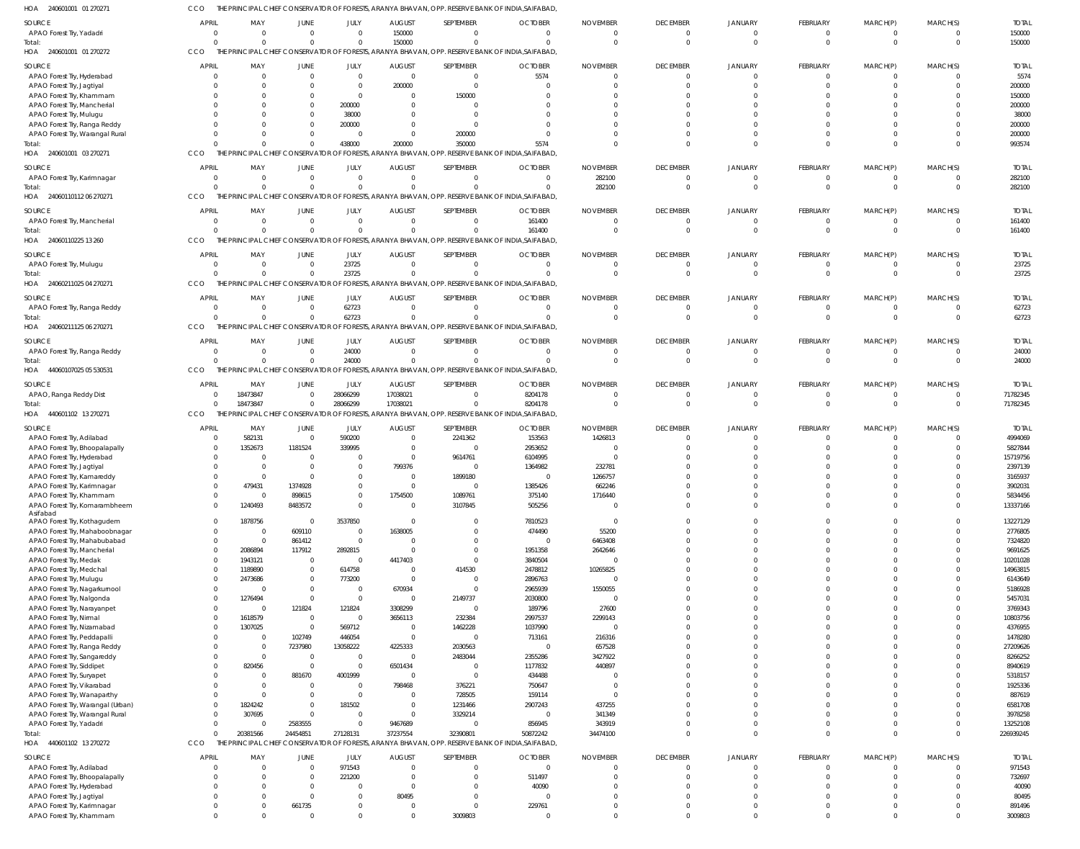| HOA<br>240601001 01 270271                              |                                |                      |                          |                            |                           |                       | PRINCIPAL CHIEF CONSERVATOR OF FORESTS, ARANYA BHAVAN, OPP. RESERVE BANK OF INDIA,SAIFABAD       |                             |                                |                                  |                      |                             |                            |                       |
|---------------------------------------------------------|--------------------------------|----------------------|--------------------------|----------------------------|---------------------------|-----------------------|--------------------------------------------------------------------------------------------------|-----------------------------|--------------------------------|----------------------------------|----------------------|-----------------------------|----------------------------|-----------------------|
| <b>SOURCE</b>                                           | <b>APRIL</b>                   | MAY                  | <b>JUNE</b>              | JULY                       | <b>AUGUST</b>             | SEPTEMBER             | <b>OCTOBER</b>                                                                                   | <b>NOVEMBER</b>             | <b>DECEMBER</b>                | <b>JANUARY</b>                   | <b>FEBRUARY</b>      | MARCH(P)                    | MARCH(S)                   | <b>TOTAL</b>          |
| APAO Forest Try, Yadadri                                | $\overline{0}$                 | $\Omega$             | $\Omega$                 | $\overline{0}$             | 150000                    | $\Omega$              | $\mathbf 0$                                                                                      | $\Omega$                    | $\mathbf{0}$                   | $\overline{0}$                   | $\Omega$             | $\mathbf{0}$                | $\overline{\mathbf{0}}$    | 150000                |
| Total:                                                  | $\mathbf 0$                    | $\Omega$             | $\Omega$                 | $\Omega$                   | 150000                    | $\Omega$              | $\Omega$                                                                                         | $\Omega$                    | $\overline{0}$                 | $\Omega$                         | $\Omega$             | $\mathbf 0$                 | $\overline{0}$             | 150000                |
| HOA 240601001 01 270272                                 | CCO                            |                      |                          |                            |                           |                       | THE PRINCIPAL CHIEF CONSERVATOR OF FORESTS, ARANYA BHAVAN, OPP. RESERVE BANK OF INDIA, SAIFABAD, |                             |                                |                                  |                      |                             |                            |                       |
| <b>SOURCE</b>                                           | <b>APRIL</b>                   | MAY                  | <b>JUNE</b>              | JULY                       | <b>AUGUST</b>             | SEPTEMBER             | <b>OCTOBER</b>                                                                                   | <b>NOVEMBER</b>             | <b>DECEMBER</b>                | <b>JANUARY</b>                   | <b>FEBRUARY</b>      | MARCH(P)                    | MARCH(S)                   | <b>TOTAL</b>          |
| APAO Forest Try, Hyderabad                              | $\overline{0}$                 | $\Omega$             | $\Omega$                 | $\overline{0}$             | $\mathbf{0}$              | $\overline{0}$        | 5574                                                                                             | $\Omega$                    | $\overline{0}$                 | $\overline{0}$                   | $\Omega$             | $\mathbf 0$                 | - 0                        | 5574                  |
| APAO Forest Try, Jagtiyal                               | $\mathbf 0$                    | $\Omega$             | $\overline{0}$           | $\overline{0}$             | 200000                    | $\Omega$              | $\Omega$                                                                                         | $\Omega$                    | $\Omega$                       | $\Omega$                         | $\Omega$             | $\mathbf 0$                 | $\Omega$                   | 200000                |
| APAO Forest Try, Khammam                                | $\mathbf 0$                    | $\Omega$             | $\Omega$                 | $\Omega$                   | $\Omega$                  | 150000                | $\Omega$                                                                                         | $\Omega$                    | $\Omega$                       | -C                               | $\cap$               | $\Omega$                    | $\Omega$                   | 150000                |
| APAO Forest Try, Mancherial                             | $\Omega$                       | $\Omega$             | $\Omega$                 | 200000                     | $\Omega$                  | $\Omega$              | $\Omega$                                                                                         |                             | - 0                            | $\cap$                           |                      | $\Omega$                    | $\Omega$                   | 200000                |
| APAO Forest Try, Mulugu                                 | $\Omega$                       | $\Omega$             | $\Omega$                 | 38000                      | $\Omega$                  | $\Omega$              | $\Omega$                                                                                         |                             |                                | $\Omega$                         |                      | $\Omega$                    | $\Omega$                   | 38000                 |
| APAO Forest Try, Ranga Reddy                            | $\mathbf 0$                    | $\Omega$             | $\Omega$                 | 200000                     | $\Omega$                  | $\Omega$              | $\Omega$                                                                                         |                             | - 0                            | $\Omega$                         | $\cap$               | $\Omega$                    | $\Omega$                   | 200000                |
| APAO Forest Try, Warangal Rural                         | $\Omega$                       | $\cap$               | $\Omega$                 | $\overline{0}$             | $\Omega$                  | 200000                | $\Omega$                                                                                         | n                           | $\Omega$                       | $\Omega$                         | $\Omega$             | $\Omega$                    | $\Omega$                   | 200000                |
| Total:                                                  | $\Omega$                       | $\Omega$             | $\Omega$                 | 438000                     | 200000                    | 350000                | 5574                                                                                             | $\cap$                      | $\Omega$                       | $\Omega$                         | $\Omega$             | $\Omega$                    | $\Omega$                   | 993574                |
| 240601001 03 270271<br>HOA                              | CCO                            |                      |                          |                            |                           |                       | THE PRINCIPAL CHIEF CONSERVATOR OF FORESTS, ARANYA BHAVAN, OPP. RESERVE BANK OF INDIA, SAIFABAD, |                             |                                |                                  |                      |                             |                            |                       |
|                                                         |                                |                      |                          |                            |                           |                       |                                                                                                  |                             |                                |                                  |                      |                             |                            |                       |
| <b>SOURCE</b>                                           | <b>APRIL</b>                   | MAY                  | JUNE                     | JULY                       | <b>AUGUST</b>             | SEPTEMBER             | <b>OCTOBER</b>                                                                                   | <b>NOVEMBER</b>             | <b>DECEMBER</b>                | <b>JANUARY</b>                   | <b>FEBRUARY</b>      | MARCH(P)                    | MARCH(S)                   | <b>TOTAL</b>          |
| APAO Forest Try, Karimnagar                             | $\overline{0}$                 | $\Omega$             | $\overline{0}$           | $\overline{0}$             | $\Omega$                  | $\Omega$              | $\mathbf{0}$                                                                                     | 282100                      | $\overline{0}$                 | $\overline{0}$                   | $\Omega$             | $\mathbf{0}$                | $\overline{\mathbf{0}}$    | 282100                |
| Total:                                                  | $\Omega$                       | $\Omega$             | $\Omega$                 | $\Omega$                   | $\Omega$                  | $\Omega$              | $\Omega$                                                                                         | 282100                      | $\Omega$                       | $\Omega$                         | $\Omega$             | $\Omega$                    | $\overline{0}$             | 282100                |
| HOA 24060110112 06 270271                               | CCO                            |                      |                          |                            |                           |                       | THE PRINCIPAL CHIEF CONSERVATOR OF FORESTS, ARANYA BHAVAN, OPP. RESERVE BANK OF INDIA, SAIFABAD, |                             |                                |                                  |                      |                             |                            |                       |
| <b>SOURCE</b>                                           | <b>APRIL</b>                   | MAY                  | JUNE                     | JULY                       | <b>AUGUST</b>             | SEPTEMBER             | <b>OCTOBER</b>                                                                                   | <b>NOVEMBER</b>             | <b>DECEMBER</b>                | <b>JANUARY</b>                   | <b>FEBRUARY</b>      | MARCH(P)                    | MARCH(S)                   | <b>TOTAL</b>          |
| APAO Forest Try, Mancherial                             | $\overline{0}$                 | $\Omega$             | $\overline{0}$           | $\overline{0}$             | $\Omega$                  | $\overline{0}$        | 161400                                                                                           | $\Omega$                    | $\mathbf{0}$                   | 0                                | $\Omega$             | $\overline{0}$              | $\overline{0}$             | 161400                |
| Total:                                                  | $\mathbf 0$                    | $\Omega$             | $\Omega$                 | $\overline{0}$             | $\Omega$                  | $\Omega$              | 161400                                                                                           | $\Omega$                    | $\overline{0}$                 | $\Omega$                         | $\Omega$             | $\mathbf 0$                 | $\Omega$                   | 161400                |
| HOA 24060110225 13 260                                  | CCO                            |                      |                          |                            |                           |                       | THE PRINCIPAL CHIEF CONSERVATOR OF FORESTS, ARANYA BHAVAN, OPP. RESERVE BANK OF INDIA, SAIFABAD, |                             |                                |                                  |                      |                             |                            |                       |
|                                                         |                                |                      |                          |                            |                           |                       |                                                                                                  |                             |                                |                                  |                      |                             |                            |                       |
| <b>SOURCE</b>                                           | <b>APRIL</b><br>$\overline{0}$ | MAY<br>$\Omega$      | <b>JUNE</b><br>$\Omega$  | JULY                       | <b>AUGUST</b><br>$\Omega$ | SEPTEMBER<br>$\Omega$ | <b>OCTOBER</b><br>$\mathbf 0$                                                                    | <b>NOVEMBER</b><br>$\Omega$ | <b>DECEMBER</b><br>$\mathbf 0$ | <b>JANUARY</b><br>$\overline{0}$ | FEBRUARY<br>$\Omega$ | MARCH(P)                    | MARCH(S)<br>$\overline{0}$ | <b>TOTAL</b><br>23725 |
| APAO Forest Try, Mulugu                                 | $\Omega$                       | $\Omega$             | $\Omega$                 | 23725                      | $\Omega$                  | $\Omega$              | $\Omega$                                                                                         | $\Omega$                    | $\Omega$                       | $\Omega$                         | $\Omega$             | $\mathbf{0}$<br>$\mathbf 0$ | $\Omega$                   |                       |
| Total:                                                  |                                |                      |                          | 23725                      |                           |                       |                                                                                                  |                             |                                |                                  |                      |                             |                            | 23725                 |
| 24060211025 04 270271<br>HOA                            | CCO                            |                      |                          |                            |                           |                       | THE PRINCIPAL CHIEF CONSERVATOR OF FORESTS, ARANYA BHAVAN, OPP. RESERVE BANK OF INDIA, SAIFABAD, |                             |                                |                                  |                      |                             |                            |                       |
| SOURCE                                                  | <b>APRIL</b>                   | MAY                  | JUNE                     | JULY                       | <b>AUGUST</b>             | SEPTEMBER             | <b>OCTOBER</b>                                                                                   | <b>NOVEMBER</b>             | <b>DECEMBER</b>                | <b>JANUARY</b>                   | <b>FEBRUARY</b>      | MARCH(P)                    | MARCH(S)                   | <b>TOTAL</b>          |
| APAO Forest Try, Ranga Reddy                            | $\overline{0}$                 | $\Omega$             | $\Omega$                 | 62723                      | $\Omega$                  | $\Omega$              | $\mathbf 0$                                                                                      | $\mathbf 0$                 | $\overline{0}$                 | $\overline{0}$                   | $\Omega$             | $\mathbf 0$                 | $\overline{0}$             | 62723                 |
| Total:                                                  | $\Omega$                       | $\Omega$             | $\Omega$                 | 62723                      | $\Omega$                  |                       | $\Omega$                                                                                         | $\Omega$                    | $\Omega$                       | $\Omega$                         | $\Omega$             | $\mathbf 0$                 | $\Omega$                   | 62723                 |
| 24060211125 06 270271<br>HOA                            | CCO                            |                      |                          |                            |                           |                       | THE PRINCIPAL CHIEF CONSERVATOR OF FORESTS, ARANYA BHAVAN, OPP. RESERVE BANK OF INDIA, SAIFABAD, |                             |                                |                                  |                      |                             |                            |                       |
| SOURCE                                                  | <b>APRIL</b>                   | MAY                  | JUNE                     | JULY                       | <b>AUGUST</b>             | SEPTEMBER             | <b>OCTOBER</b>                                                                                   | <b>NOVEMBER</b>             | <b>DECEMBER</b>                | <b>JANUARY</b>                   | FEBRUARY             | MARCH(P)                    | MARCH(S)                   | <b>TOTAL</b>          |
| APAO Forest Try, Ranga Reddy                            | $\overline{0}$                 | $\Omega$             | $\Omega$                 | 24000                      | $\Omega$                  | $\Omega$              | $\mathbf{0}$                                                                                     | $\Omega$                    | $\overline{0}$                 | $\Omega$                         | $\Omega$             | - 0                         | $\overline{0}$             | 24000                 |
|                                                         | $\mathbf 0$                    | $\Omega$             | $\Omega$                 | 24000                      | $\Omega$                  | $\Omega$              | $\Omega$                                                                                         | $\Omega$                    | $\overline{0}$                 | $\Omega$                         | $\overline{0}$       | $\mathbf 0$                 | $\overline{0}$             | 24000                 |
| Total:<br>44060107025 05 530531<br>HOA                  | CCO                            |                      |                          |                            |                           |                       | THE PRINCIPAL CHIEF CONSERVATOR OF FORESTS, ARANYA BHAVAN, OPP. RESERVE BANK OF INDIA, SAIFABAD, |                             |                                |                                  |                      |                             |                            |                       |
|                                                         |                                |                      |                          |                            |                           |                       |                                                                                                  |                             |                                |                                  |                      |                             |                            |                       |
| <b>SOURCE</b>                                           | <b>APRIL</b>                   | MAY                  | <b>JUNE</b>              | JULY                       | <b>AUGUST</b>             | SEPTEMBER             | <b>OCTOBER</b>                                                                                   | <b>NOVEMBER</b>             | <b>DECEMBER</b>                | JANUARY                          | <b>FEBRUARY</b>      | MARCH(P)                    | MARCH(S)                   | <b>TOTAL</b>          |
| APAO, Ranga Reddy Dist                                  | $\mathbf 0$                    | 18473847             | $\Omega$                 | 28066299                   | 17038021                  | $\Omega$              | 8204178                                                                                          | $\Omega$                    | $\overline{0}$                 | $\overline{0}$                   | $\Omega$             | $\mathbf 0$                 | $\overline{\mathbf{0}}$    | 71782345              |
| Total:                                                  | $\Omega$                       | 18473847             | $\overline{0}$           | 28066299                   | 17038021                  | $\Omega$              | 8204178                                                                                          | $\Omega$                    | $\overline{0}$                 | $\overline{0}$                   | $\Omega$             | $\mathbf 0$                 | $\overline{0}$             | 71782345              |
| HOA 440601102 13 270271                                 | CCO                            |                      |                          |                            |                           |                       | THE PRINCIPAL CHIEF CONSERVATOR OF FORESTS, ARANYA BHAVAN, OPP. RESERVE BANK OF INDIA, SAIFABAD, |                             |                                |                                  |                      |                             |                            |                       |
| <b>SOURCE</b>                                           | <b>APRIL</b>                   | MAY                  | JUNE                     | JULY                       | <b>AUGUST</b>             | SEPTEMBER             | <b>OCTOBER</b>                                                                                   | <b>NOVEMBER</b>             | <b>DECEMBER</b>                | JANUARY                          | <b>FEBRUARY</b>      | MARCH(P)                    | MARCH(S)                   | <b>TOTAL</b>          |
| APAO Forest Try, Adilabad                               | $^{\circ}$                     | 582131               | $\overline{0}$           | 590200                     | $\Omega$                  | 2241362               | 153563                                                                                           | 1426813                     | $\overline{0}$                 | $\Omega$                         | $\Omega$             | $\Omega$                    | $\Omega$                   | 4994069               |
| APAO Forest Try, Bhoopalapally                          | $\mathbf 0$                    | 1352673              | 1181524                  | 339995                     | $\Omega$                  | $\Omega$              | 2953652                                                                                          | $\Omega$                    | $\Omega$                       | $\Omega$                         | $\Omega$             | $\Omega$                    | $\Omega$                   | 5827844               |
| APAO Forest Try, Hyderabad                              | $^{\circ}$                     | - 0                  | $\Omega$                 | $\overline{0}$             | $\Omega$                  | 9614761               | 6104995                                                                                          | $\Omega$                    | $\Omega$                       |                                  |                      |                             |                            | 15719756              |
| APAO Forest Try, Jagtiyal                               | $\Omega$                       | $\Omega$             | $\Omega$                 | $\overline{0}$             | 799376                    | $\Omega$              | 1364982                                                                                          | 232781                      | - 0                            |                                  | $\cap$               |                             | $\Omega$                   | 2397139               |
| APAO Forest Try, Kamareddy                              | $\Omega$                       | $\Omega$             | $\Omega$                 | $\Omega$                   | $\Omega$                  | 1899180               | $\Omega$                                                                                         | 1266757                     | $\Omega$                       |                                  |                      |                             | $\Omega$                   | 3165937               |
| APAO Forest Trv. Karimnagar                             | $\Omega$                       | 479431               | 1374928                  | $\overline{0}$             | $\mathbf 0$               |                       | 1385426                                                                                          | 662246                      |                                |                                  |                      |                             | $\overline{0}$             | 3902031               |
| APAO Forest Try, Khammam                                | $\mathbf 0$                    | $\Omega$             | 898615                   | $\overline{0}$             | 1754500                   | 1089761               | 375140                                                                                           | 1716440                     | $\overline{0}$                 | $\mathbf{0}$                     | $\Omega$             | $\Omega$                    | $\Omega$                   | 5834456               |
| APAO Forest Try, Komarambheem                           | $\overline{0}$                 | 1240493              | 8483572                  | $\overline{0}$             | $\overline{0}$            | 3107845               | 505256                                                                                           | $\mathbf 0$                 | $\Omega$                       | $\Omega$                         | $\Omega$             | $\mathbf 0$                 | $\mathbf{0}$               | 13337166              |
| Asifabad                                                |                                |                      |                          |                            |                           |                       |                                                                                                  |                             |                                |                                  |                      |                             |                            |                       |
| APAO Forest Try, Kothagudem                             | $\mathbf 0$                    | 1878756              | $\overline{0}$           | 3537850                    | $\Omega$                  | $\Omega$              | 7810523                                                                                          | $\mathbf 0$                 | $\Omega$                       | $\Omega$                         | $\Omega$             | $\Omega$                    | $\Omega$                   | 13227129              |
| APAO Forest Try, Mahaboobnagar                          | $\mathbf 0$                    | $\Omega$             | 609110                   | $\overline{0}$             | 1638005                   | $\Omega$              | 474490                                                                                           | 55200                       | $\Omega$                       | $\Omega$                         | $\Omega$             | $\Omega$                    | $\Omega$                   | 2776805               |
| APAO Forest Try, Mahabubabad                            | $\mathbf 0$                    | $\Omega$             | 861412                   | $\overline{0}$             | $\Omega$                  | $\Omega$              | $\mathbf 0$                                                                                      | 6463408                     | $\Omega$                       | $\Omega$                         | $\Omega$             | $\Omega$                    | $\Omega$                   | 7324820               |
| APAO Forest Try, Mancherial                             | $\mathbf 0$                    | 2086894              | 117912                   | 2892815                    | $\Omega$                  | $\Omega$              | 1951358                                                                                          | 2642646                     | $\Omega$                       | $\Omega$                         | $\Omega$             | $\Omega$                    | $\Omega$                   | 9691625               |
| APAO Forest Try, Medak                                  | $\mathbf 0$                    | 1943121              | $\overline{0}$           | $\overline{0}$             | 4417403                   | $\overline{0}$        | 3840504                                                                                          | $\Omega$                    | $\Omega$                       | $\Omega$                         | $\Omega$             | $\Omega$                    | $\Omega$                   | 10201028              |
| APAO Forest Try, Medchal                                | $\mathbf 0$                    | 1189890              | $\overline{0}$           | 614758                     | $\overline{0}$            | 414530                | 2478812                                                                                          | 10265825                    | $\Omega$                       | $\Omega$                         | $\Omega$             | $\Omega$                    | $\Omega$                   | 14963815              |
| APAO Forest Try, Mulugu                                 | $\mathbf 0$                    | 2473686              | $\overline{0}$           | 773200                     | $\Omega$                  | $\overline{0}$        | 2896763                                                                                          | $\Omega$                    | $\Omega$                       | $\Omega$                         | $\Omega$             | $\Omega$                    | $\Omega$                   | 6143649               |
| APAO Forest Try, Nagarkurnool                           | $\mathbf 0$                    | $\Omega$             | $\Omega$                 | $\overline{0}$             | 670934                    | $\Omega$              | 2965939                                                                                          | 1550055                     | $\Omega$                       | $\Omega$                         | $\Omega$             | $\Omega$                    | $\Omega$                   | 5186928               |
| APAO Forest Try, Nalgonda                               | $\mathbf 0$                    | 1276494              | $\overline{0}$           | $\overline{0}$             | $\Omega$                  | 2149737               | 2030800                                                                                          | $\Omega$                    | $\Omega$                       | $\Omega$                         | $\Omega$             | $\Omega$                    | $\Omega$                   | 5457031               |
| APAO Forest Try, Narayanpet                             |                                |                      |                          |                            | 3308299                   | $\Omega$              | 189796                                                                                           | 27600                       | $\Omega$                       | $\Omega$                         | $\Omega$             | $\Omega$                    | $\Omega$                   | 3769343               |
| APAO Forest Try, Nirmal                                 | $\mathbf 0$                    | - 0                  | 121824                   | 121824                     |                           |                       |                                                                                                  |                             |                                |                                  |                      |                             |                            | 10803756              |
|                                                         | $\mathbf 0$                    | 1618579              | $\overline{0}$           | $\overline{0}$             | 3656113                   | 232384                | 2997537                                                                                          | 2299143                     | $\Omega$                       | $\Omega$                         | $\Omega$             | $\Omega$                    | $\Omega$                   |                       |
| APAO Forest Try, Nizamabad                              | $\mathbf 0$                    | 1307025              | $\overline{0}$           | 569712                     | $\overline{0}$            | 1462228               | 1037990                                                                                          | $\Omega$                    | $\Omega$                       | $\Omega$                         | $\Omega$             | $\Omega$                    | $\Omega$                   | 4376955               |
| APAO Forest Try, Peddapalli                             | $\mathbf 0$                    | $\Omega$             | 102749                   | 446054                     | $\Omega$                  | $\overline{0}$        | 713161                                                                                           | 216316                      | $\Omega$                       | $\Omega$                         | $\Omega$             | $\Omega$                    | $\Omega$                   | 1478280               |
| APAO Forest Try, Ranga Reddy                            | $\mathbf 0$                    | $\Omega$             | 7237980                  | 13058222                   | 4225333                   | 2030563               | $\mathbf 0$                                                                                      | 657528                      | $\Omega$                       | $\Omega$                         | $\Omega$             | $\Omega$                    | $\Omega$                   | 27209626              |
| APAO Forest Try, Sangareddy                             | $\mathbf 0$                    | $\Omega$             | $\Omega$                 | $\overline{0}$             | $\Omega$                  | 2483044               | 2355286                                                                                          | 3427922                     | $\Omega$                       | $\Omega$                         | $\Omega$             | $\Omega$                    | $\Omega$                   | 8266252               |
| APAO Forest Try, Siddipet                               | $\Omega$                       | 820456               | $\Omega$                 | $\overline{0}$             | 6501434                   | $\Omega$              | 1177832                                                                                          | 440897                      | $\Omega$                       | $\Omega$                         | $\Omega$             | $\Omega$                    | $\Omega$                   | 8940619               |
| APAO Forest Try, Suryapet                               | $\mathbf 0$                    | $\Omega$             | 881670                   | 4001999                    | $\Omega$                  | $\overline{0}$        | 434488                                                                                           | $\Omega$                    | $\Omega$                       | $\Omega$                         | $\Omega$             | $\Omega$                    | $\Omega$                   | 5318157               |
| APAO Forest Try, Vikarabad                              | $\Omega$                       | $\Omega$             | $\Omega$                 | $\overline{0}$             | 798468                    | 376221                | 750647                                                                                           | $\Omega$                    | $\Omega$                       | $\Omega$                         | $\Omega$             | $\Omega$                    | $\Omega$                   | 1925336               |
| APAO Forest Try, Wanaparthy                             | $\mathbf 0$                    | $\Omega$             | $\Omega$                 | $\overline{0}$             | $\Omega$                  | 728505                | 159114                                                                                           | $\Omega$                    | $\Omega$                       | $\Omega$                         | $\Omega$             | $\Omega$                    | $\Omega$                   | 887619                |
| APAO Forest Try, Warangal (Urban)                       | $\mathbf 0$                    | 1824242              | $\Omega$                 | 181502                     | $\Omega$                  | 1231466               | 2907243                                                                                          | 437255                      | $\Omega$                       | $\Omega$                         | $\Omega$             | $\Omega$                    | $\Omega$                   | 6581708               |
| APAO Forest Try, Warangal Rural                         | $\mathbf 0$                    | 307695               | $\overline{0}$           | $\overline{0}$             | $\Omega$                  | 3329214               | $\mathbf 0$                                                                                      | 341349                      | $\Omega$                       | $\Omega$                         | $\Omega$             | $\Omega$                    | $\Omega$                   | 3978258               |
| APAO Forest Try, Yadadri                                | $\mathbf 0$                    |                      | 2583555                  | $\Omega$                   | 9467689                   | $\Omega$              | 856945                                                                                           | 343919                      | $\Omega$                       | $\Omega$                         | $\Omega$             | $\mathbf 0$                 | $\Omega$                   | 13252108              |
| Total:                                                  | $\mathbf 0$                    | 20381566             | 24454851                 | 27128131                   | 37237554                  | 32390801              | 50872242                                                                                         | 34474100                    | $\Omega$                       | $\overline{0}$                   | $\Omega$             | $\mathbf 0$                 | $\overline{0}$             | 226939245             |
| HOA 440601102 13 270272                                 | CCO                            |                      |                          |                            |                           |                       | THE PRINCIPAL CHIEF CONSERVATOR OF FORESTS, ARANYA BHAVAN, OPP. RESERVE BANK OF INDIA, SAIFABAD, |                             |                                |                                  |                      |                             |                            |                       |
|                                                         |                                |                      |                          |                            |                           |                       |                                                                                                  |                             |                                |                                  |                      |                             |                            |                       |
| <b>SOURCE</b>                                           | <b>APRIL</b>                   | MAY                  | <b>JUNE</b>              | JULY                       | <b>AUGUST</b>             | SEPTEMBER             | <b>OCTOBER</b>                                                                                   | <b>NOVEMBER</b>             | <b>DECEMBER</b>                | JANUARY                          | FEBRUARY             | MARCH(P)                    | MARCH(S)                   | <b>TOTAL</b>          |
| APAO Forest Try, Adilabad                               | $\mathbf{0}$                   | $\Omega$             | $\Omega$                 | 971543                     | $\Omega$                  | $\Omega$              | $\mathbf 0$                                                                                      | 0                           | $\overline{0}$                 | $\mathbf{0}$                     | $\Omega$             | $\mathbf 0$                 | $\overline{0}$             | 971543                |
| APAO Forest Try, Bhoopalapally                          | $\mathbf 0$                    | $\Omega$             | $\overline{0}$           | 221200                     | $\Omega$                  | $\mathbf 0$           | 511497                                                                                           | $\Omega$                    | $\overline{0}$                 | $\overline{0}$                   | $\Omega$             | $\mathbf 0$                 | $\overline{0}$             | 732697                |
| APAO Forest Try, Hyderabad                              | $\mathbf{0}$                   | $\Omega$             | $\Omega$                 | $\Omega$                   | $\Omega$                  | $\Omega$              | 40090                                                                                            | $\Omega$                    | $\Omega$                       | $\Omega$                         | $\Omega$             | $\Omega$                    | $\Omega$                   | 40090                 |
| APAO Forest Try, Jagtiyal                               | $\mathbf{0}$                   | $\Omega$             | $\Omega$                 | $\Omega$                   | 80495                     | $\Omega$              | $\overline{0}$                                                                                   | $\Omega$                    | $\Omega$                       | $\Omega$                         | $\Omega$             | $\Omega$                    | $\Omega$                   | 80495                 |
| APAO Forest Try, Karimnagar<br>APAO Forest Try, Khammam | $\mathbf 0$<br>$\mathbf 0$     | $\Omega$<br>$\Omega$ | 661735<br>$\overline{0}$ | $\overline{0}$<br>$\Omega$ | $\Omega$<br>$\Omega$      | $\Omega$<br>3009803   | 229761<br>$\mathbf 0$                                                                            | $\Omega$<br>$\mathbf 0$     | $\overline{0}$<br>$\Omega$     | $\overline{0}$<br>$\mathbf{0}$   | $\Omega$<br>$\Omega$ | $\mathbf 0$<br>$\mathbf 0$  | $\overline{0}$<br>$\Omega$ | 891496<br>3009803     |